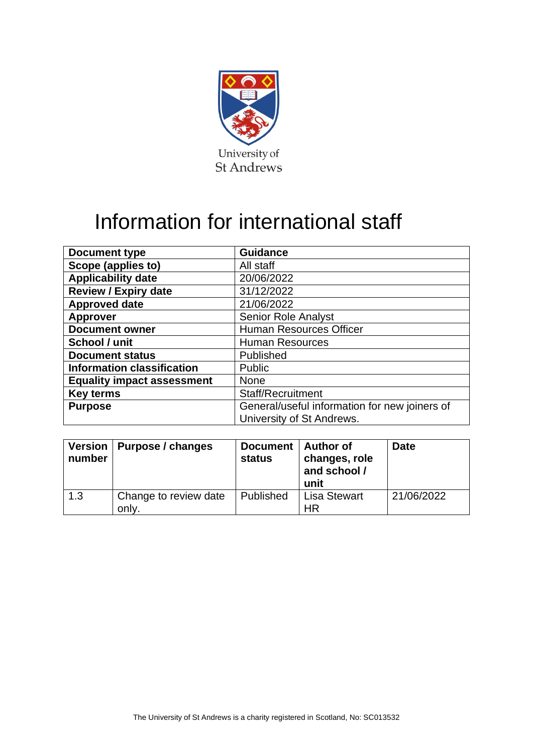

# Information for international staff

| Document type                     | <b>Guidance</b>                               |
|-----------------------------------|-----------------------------------------------|
| Scope (applies to)                | All staff                                     |
| <b>Applicability date</b>         | 20/06/2022                                    |
| <b>Review / Expiry date</b>       | 31/12/2022                                    |
| <b>Approved date</b>              | 21/06/2022                                    |
| <b>Approver</b>                   | <b>Senior Role Analyst</b>                    |
| <b>Document owner</b>             | <b>Human Resources Officer</b>                |
| School / unit                     | <b>Human Resources</b>                        |
| <b>Document status</b>            | Published                                     |
| <b>Information classification</b> | <b>Public</b>                                 |
| <b>Equality impact assessment</b> | <b>None</b>                                   |
| <b>Key terms</b>                  | <b>Staff/Recruitment</b>                      |
| <b>Purpose</b>                    | General/useful information for new joiners of |
|                                   | University of St Andrews.                     |

| number | Version   Purpose / changes    | Document   Author of<br>status | changes, role<br>and school /<br>unit | <b>Date</b> |
|--------|--------------------------------|--------------------------------|---------------------------------------|-------------|
| 1.3    | Change to review date<br>only. | Published                      | <b>Lisa Stewart</b><br>ΗR             | 21/06/2022  |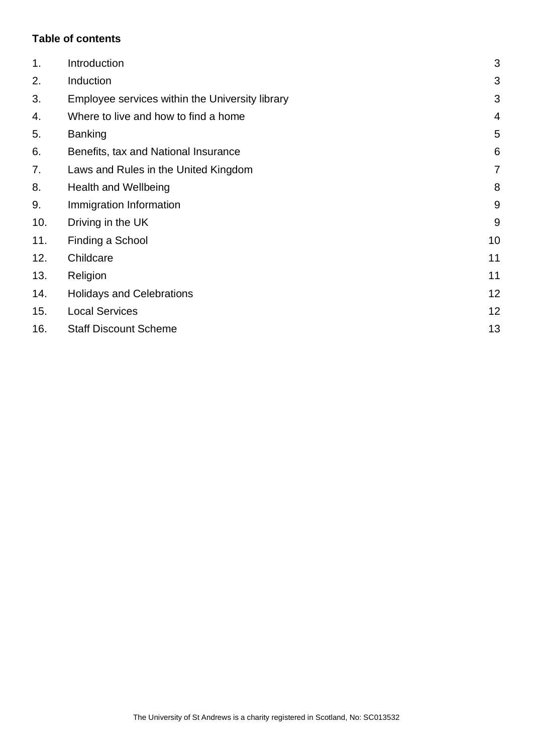## **Table of contents**

| 1 <sub>1</sub> | Introduction                                    | 3              |
|----------------|-------------------------------------------------|----------------|
| 2.             | Induction                                       | 3              |
| 3.             | Employee services within the University library | 3              |
| 4.             | Where to live and how to find a home            | $\overline{4}$ |
| 5.             | <b>Banking</b>                                  | 5              |
| 6.             | Benefits, tax and National Insurance            | 6              |
| 7.             | Laws and Rules in the United Kingdom            | $\overline{7}$ |
| 8.             | <b>Health and Wellbeing</b>                     | 8              |
| 9.             | Immigration Information                         | 9              |
| 10.            | Driving in the UK                               | 9              |
| 11.            | Finding a School                                | 10             |
| 12.            | Childcare                                       | 11             |
| 13.            | Religion                                        | 11             |
| 14.            | <b>Holidays and Celebrations</b>                | 12             |
| 15.            | <b>Local Services</b>                           | 12             |
| 16.            | <b>Staff Discount Scheme</b>                    | 13             |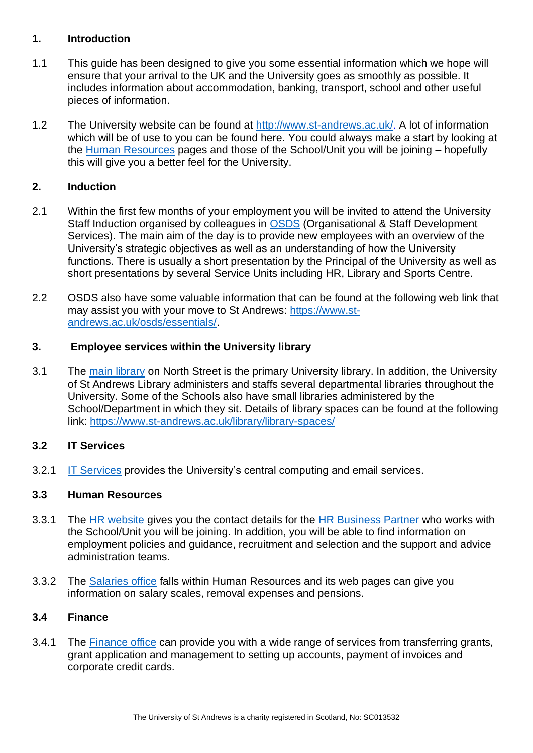#### <span id="page-2-0"></span>**1. Introduction**

- 1.1 This guide has been designed to give you some essential information which we hope will ensure that your arrival to the UK and the University goes as smoothly as possible. It includes information about accommodation, banking, transport, school and other useful pieces of information.
- 1.2 The University website can be found at [http://www.st-andrews.ac.uk/.](http://www.st-andrews.ac.uk/) A lot of information which will be of use to you can be found here. You could always make a start by looking at the [Human Resources](https://www.st-andrews.ac.uk/hr/) pages and those of the School/Unit you will be joining – hopefully this will give you a better feel for the University.

#### <span id="page-2-1"></span>**2. Induction**

- 2.1 Within the first few months of your employment you will be invited to attend the University Staff Induction organised by colleagues in [OSDS](https://www.st-andrews.ac.uk/osds/) (Organisational & Staff Development Services). The main aim of the day is to provide new employees with an overview of the University's strategic objectives as well as an understanding of how the University functions. There is usually a short presentation by the Principal of the University as well as short presentations by several Service Units including HR, Library and Sports Centre.
- 2.2 OSDS also have some valuable information that can be found at the following web link that may assist you with your move to St Andrews: [https://www.st](https://www.st-andrews.ac.uk/osds/essentials/)[andrews.ac.uk/osds/essentials/.](https://www.st-andrews.ac.uk/osds/essentials/)

#### <span id="page-2-2"></span>**3. Employee services within the University library**

3.1 The [main library](http://www.st-andrews.ac.uk/library/) on North Street is the primary University library. In addition, the University of St Andrews Library administers and staffs several departmental libraries throughout the University. Some of the Schools also have small libraries administered by the School/Department in which they sit. Details of library spaces can be found at the following link:<https://www.st-andrews.ac.uk/library/library-spaces/>

## **3.2 IT Services**

3.2.1 [IT Services](https://www.st-andrews.ac.uk/itsupport/) provides the University's central computing and email services.

## **3.3 Human Resources**

- 3.3.1 The [HR website](https://www.st-andrews.ac.uk/hr/) gives you the contact details for the [HR Business Partner](https://www.st-andrews.ac.uk/hr/businesspartner/) who works with the School/Unit you will be joining. In addition, you will be able to find information on employment policies and guidance, recruitment and selection and the support and advice administration teams.
- 3.3.2 The [Salaries office](https://www.st-andrews.ac.uk/hr/salariesandpensions/) falls within Human Resources and its web pages can give you information on salary scales, removal expenses and pensions.

#### **3.4 Finance**

3.4.1 The [Finance office](https://www.st-andrews.ac.uk/about/professional-services/finance/) can provide you with a wide range of services from transferring grants, grant application and management to setting up accounts, payment of invoices and corporate credit cards.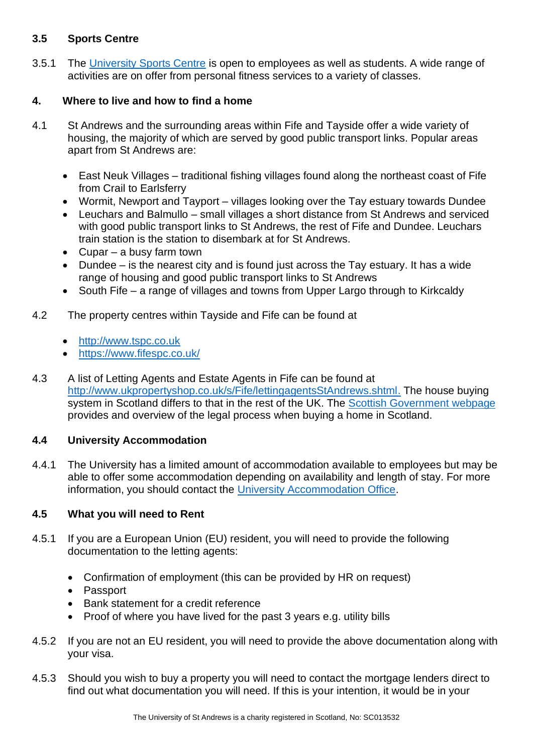#### **3.5 Sports Centre**

3.5.1 The [University Sports Centre](https://www.st-andrews.ac.uk/community/living/sports-centre/) is open to employees as well as students. A wide range of activities are on offer from personal fitness services to a variety of classes.

#### <span id="page-3-0"></span>**4. Where to live and how to find a home**

- 4.1 St Andrews and the surrounding areas within Fife and Tayside offer a wide variety of housing, the majority of which are served by good public transport links. Popular areas apart from St Andrews are:
	- East Neuk Villages traditional fishing villages found along the northeast coast of Fife from Crail to Earlsferry
	- Wormit, Newport and Tayport villages looking over the Tay estuary towards Dundee
	- Leuchars and Balmullo small villages a short distance from St Andrews and serviced with good public transport links to St Andrews, the rest of Fife and Dundee. Leuchars train station is the station to disembark at for St Andrews.
	- Cupar a busy farm town
	- Dundee is the nearest city and is found just across the Tay estuary. It has a wide range of housing and good public transport links to St Andrews
	- South Fife a range of villages and towns from Upper Largo through to Kirkcaldy
- 4.2 The property centres within Tayside and Fife can be found at
	- [http://www.tspc.co.uk](http://www.tspc.co.uk/)
	- <https://www.fifespc.co.uk/>
- 4.3 A list of Letting Agents and Estate Agents in Fife can be found at [http://www.ukpropertyshop.co.uk/s/Fife/lettingagentsStAndrews.shtml.](http://www.ukpropertyshop.co.uk/s/Fife/lettingagentsStAndrews.shtml) The house buying system in Scotland differs to that in the rest of the UK. The [Scottish Government webpage](https://www.mygov.scot/buying-a-home) provides and overview of the legal process when buying a home in Scotland.

## **4.4 University Accommodation**

4.4.1 The University has a limited amount of accommodation available to employees but may be able to offer some accommodation depending on availability and length of stay. For more information, you should contact the [University Accommodation Office.](https://www.st-andrews.ac.uk/accommodation/contact/)

#### **4.5 What you will need to Rent**

- 4.5.1 If you are a European Union (EU) resident, you will need to provide the following documentation to the letting agents:
	- Confirmation of employment (this can be provided by HR on request)
	- Passport
	- Bank statement for a credit reference
	- Proof of where you have lived for the past 3 years e.g. utility bills
- 4.5.2 If you are not an EU resident, you will need to provide the above documentation along with your visa.
- 4.5.3 Should you wish to buy a property you will need to contact the mortgage lenders direct to find out what documentation you will need. If this is your intention, it would be in your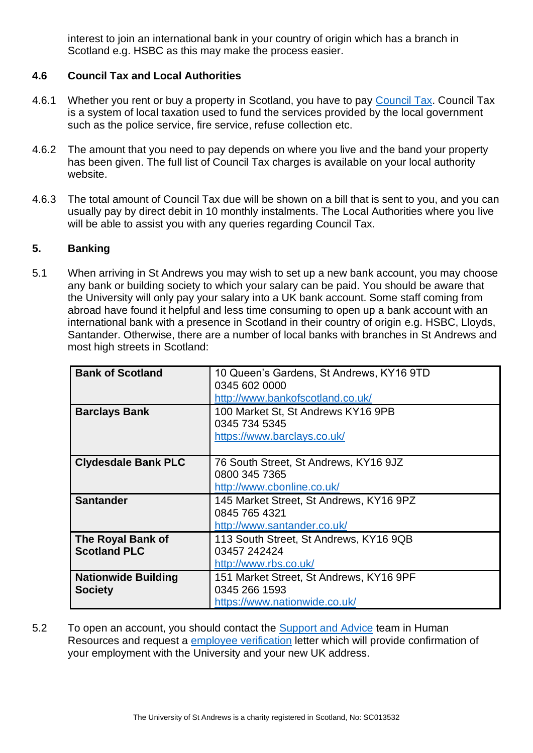interest to join an international bank in your country of origin which has a branch in Scotland e.g. HSBC as this may make the process easier.

#### **4.6 Council Tax and Local Authorities**

- 4.6.1 Whether you rent or buy a property in Scotland, you have to pay [Council Tax.](https://www.gov.uk/council-tax) Council Tax is a system of local taxation used to fund the services provided by the local government such as the police service, fire service, refuse collection etc.
- 4.6.2 The amount that you need to pay depends on where you live and the band your property has been given. The full list of Council Tax charges is available on your local authority website.
- 4.6.3 The total amount of Council Tax due will be shown on a bill that is sent to you, and you can usually pay by direct debit in 10 monthly instalments. The Local Authorities where you live will be able to assist you with any queries regarding Council Tax.

#### <span id="page-4-0"></span>**5. Banking**

5.1 When arriving in St Andrews you may wish to set up a new bank account, you may choose any bank or building society to which your salary can be paid. You should be aware that the University will only pay your salary into a UK bank account. Some staff coming from abroad have found it helpful and less time consuming to open up a bank account with an international bank with a presence in Scotland in their country of origin e.g. HSBC, Lloyds, Santander. Otherwise, there are a number of local banks with branches in St Andrews and most high streets in Scotland:

| <b>Bank of Scotland</b>    | 10 Queen's Gardens, St Andrews, KY16 9TD |
|----------------------------|------------------------------------------|
|                            | 0345 602 0000                            |
|                            | http://www.bankofscotland.co.uk/         |
|                            |                                          |
| <b>Barclays Bank</b>       | 100 Market St, St Andrews KY16 9PB       |
|                            | 0345 734 5345                            |
|                            | https://www.barclays.co.uk/              |
|                            |                                          |
|                            |                                          |
| <b>Clydesdale Bank PLC</b> | 76 South Street, St Andrews, KY16 9JZ    |
|                            | 0800 345 7365                            |
|                            | http://www.cbonline.co.uk/               |
|                            |                                          |
| <b>Santander</b>           | 145 Market Street, St Andrews, KY16 9PZ  |
|                            | 0845 765 4321                            |
|                            | http://www.santander.co.uk/              |
|                            |                                          |
| <b>The Royal Bank of</b>   | 113 South Street, St Andrews, KY16 9QB   |
| <b>Scotland PLC</b>        | 03457 242424                             |
|                            | http://www.rbs.co.uk/                    |
| <b>Nationwide Building</b> | 151 Market Street, St Andrews, KY16 9PF  |
|                            |                                          |
| <b>Society</b>             | 0345 266 1593                            |
|                            | https://www.nationwide.co.uk/            |

5.2 To open an account, you should contact the [Support and Advice](mailto:humres@st-andrews.ac.uk) team in Human Resources and request a [employee verification](https://www.st-andrews.ac.uk/policy/staff-employee-relations-contract-management/employment_verification.pdf) letter which will provide confirmation of your employment with the University and your new UK address.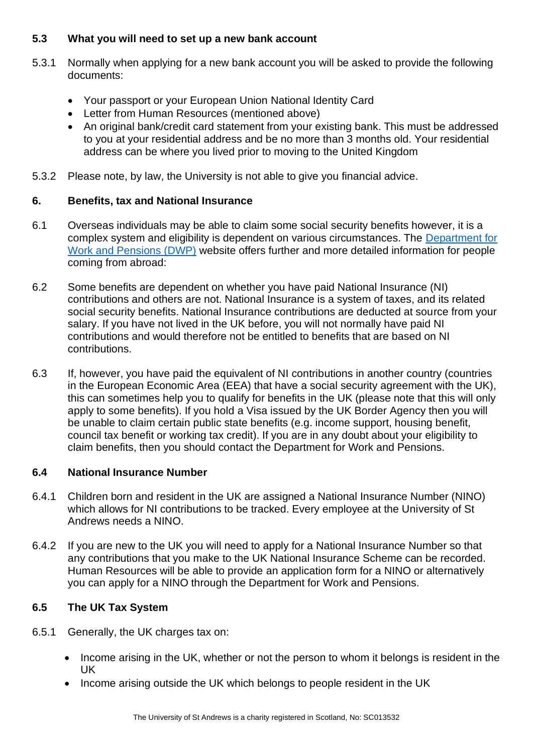## **5.3 What you will need to set up a new bank account**

- 5.3.1 Normally when applying for a new bank account you will be asked to provide the following documents:
	- Your passport or your European Union National Identity Card
	- Letter from Human Resources (mentioned above)
	- An original bank/credit card statement from your existing bank. This must be addressed to you at your residential address and be no more than 3 months old. Your residential address can be where you lived prior to moving to the United Kingdom
- 5.3.2 Please note, by law, the University is not able to give you financial advice.

## <span id="page-5-0"></span>**6. Benefits, tax and National Insurance**

- 6.1 Overseas individuals may be able to claim some social security benefits however, it is a complex system and eligibility is dependent on various circumstances. The [Department for](https://www.gov.uk/government/organisations/department-for-work-pensions)  [Work and Pensions \(DWP\)](https://www.gov.uk/government/organisations/department-for-work-pensions) website offers further and more detailed information for people coming from abroad:
- 6.2 Some benefits are dependent on whether you have paid National Insurance (NI) contributions and others are not. National Insurance is a system of taxes, and its related social security benefits. National Insurance contributions are deducted at source from your salary. If you have not lived in the UK before, you will not normally have paid NI contributions and would therefore not be entitled to benefits that are based on NI contributions.
- 6.3 If, however, you have paid the equivalent of NI contributions in another country (countries in the European Economic Area (EEA) that have a social security agreement with the UK), this can sometimes help you to qualify for benefits in the UK (please note that this will only apply to some benefits). If you hold a Visa issued by the UK Border Agency then you will be unable to claim certain public state benefits (e.g. income support, housing benefit, council tax benefit or working tax credit). If you are in any doubt about your eligibility to claim benefits, then you should contact the Department for Work and Pensions.

# **6.4 National Insurance Number**

- 6.4.1 Children born and resident in the UK are assigned a National Insurance Number (NINO) which allows for NI contributions to be tracked. Every employee at the University of St Andrews needs a NINO.
- 6.4.2 If you are new to the UK you will need to apply for a National Insurance Number so that any contributions that you make to the UK National Insurance Scheme can be recorded. Human Resources will be able to provide an application form for a NINO or alternatively you can apply for a NINO through the Department for Work and Pensions.

# **6.5 The UK Tax System**

- 6.5.1 Generally, the UK charges tax on:
	- Income arising in the UK, whether or not the person to whom it belongs is resident in the UK
	- Income arising outside the UK which belongs to people resident in the UK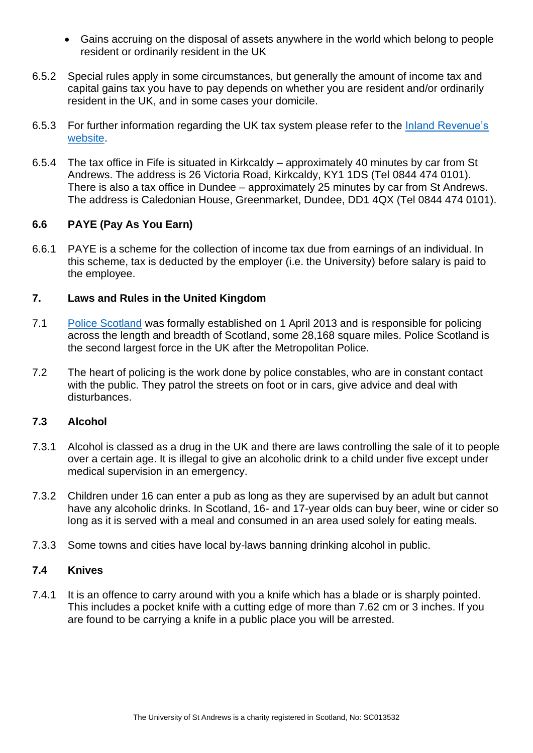- Gains accruing on the disposal of assets anywhere in the world which belong to people resident or ordinarily resident in the UK
- 6.5.2 Special rules apply in some circumstances, but generally the amount of income tax and capital gains tax you have to pay depends on whether you are resident and/or ordinarily resident in the UK, and in some cases your domicile.
- 6.5.3 For further information regarding the UK tax system please refer to the [Inland Revenue's](http://www.hmrc.gov.uk/migrantworkers/index.htm)  [website.](http://www.hmrc.gov.uk/migrantworkers/index.htm)
- 6.5.4 The tax office in Fife is situated in Kirkcaldy approximately 40 minutes by car from St Andrews. The address is 26 Victoria Road, Kirkcaldy, KY1 1DS (Tel 0844 474 0101). There is also a tax office in Dundee – approximately 25 minutes by car from St Andrews. The address is Caledonian House, Greenmarket, Dundee, DD1 4QX (Tel 0844 474 0101).

#### **6.6 PAYE (Pay As You Earn)**

6.6.1 PAYE is a scheme for the collection of income tax due from earnings of an individual. In this scheme, tax is deducted by the employer (i.e. the University) before salary is paid to the employee.

#### <span id="page-6-0"></span>**7. Laws and Rules in the United Kingdom**

- 7.1 [Police Scotland](https://www.scotland.police.uk/contact-us/) was formally established on 1 April 2013 and is responsible for policing across the length and breadth of Scotland, some 28,168 square miles. Police Scotland is the second largest force in the UK after the Metropolitan Police.
- 7.2 The heart of policing is the work done by police constables, who are in constant contact with the public. They patrol the streets on foot or in cars, give advice and deal with disturbances.

#### **7.3 Alcohol**

- 7.3.1 Alcohol is classed as a drug in the UK and there are laws controlling the sale of it to people over a certain age. It is illegal to give an alcoholic drink to a child under five except under medical supervision in an emergency.
- 7.3.2 Children under 16 can enter a pub as long as they are supervised by an adult but cannot have any alcoholic drinks. In Scotland, 16- and 17-year olds can buy beer, wine or cider so long as it is served with a meal and consumed in an area used solely for eating meals.
- 7.3.3 Some towns and cities have local by-laws banning drinking alcohol in public.

#### **7.4 Knives**

7.4.1 It is an offence to carry around with you a knife which has a blade or is sharply pointed. This includes a pocket knife with a cutting edge of more than 7.62 cm or 3 inches. If you are found to be carrying a knife in a public place you will be arrested.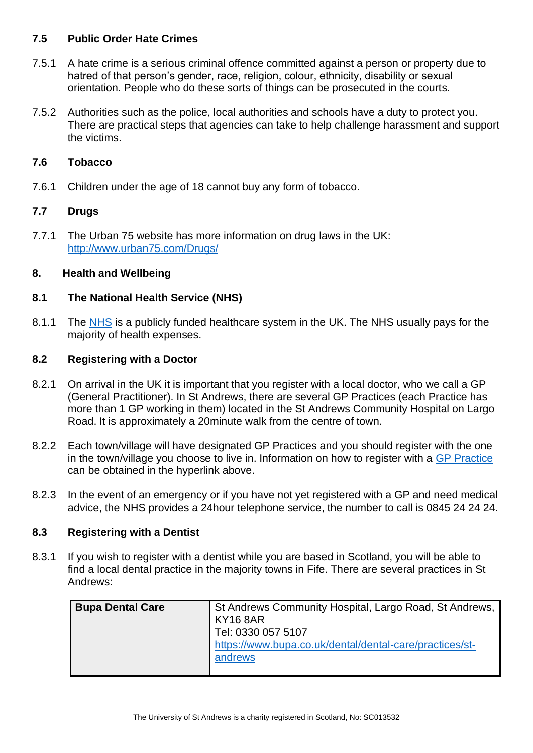#### **7.5 Public Order Hate Crimes**

- 7.5.1 A hate crime is a serious criminal offence committed against a person or property due to hatred of that person's gender, race, religion, colour, ethnicity, disability or sexual orientation. People who do these sorts of things can be prosecuted in the courts.
- 7.5.2 Authorities such as the police, local authorities and schools have a duty to protect you. There are practical steps that agencies can take to help challenge harassment and support the victims.

#### **7.6 Tobacco**

7.6.1 Children under the age of 18 cannot buy any form of tobacco.

#### **7.7 Drugs**

7.7.1 The Urban 75 website has more information on drug laws in the UK: <http://www.urban75.com/Drugs/>

#### <span id="page-7-0"></span>**8. Health and Wellbeing**

#### **8.1 The National Health Service (NHS)**

8.1.1 The [NHS](https://www.nhs24.scot/) is a publicly funded healthcare system in the UK. The NHS usually pays for the majority of health expenses.

#### **8.2 Registering with a Doctor**

- 8.2.1 On arrival in the UK it is important that you register with a local doctor, who we call a GP (General Practitioner). In St Andrews, there are several GP Practices (each Practice has more than 1 GP working in them) located in the St Andrews Community Hospital on Largo Road. It is approximately a 20minute walk from the centre of town.
- 8.2.2 Each town/village will have designated GP Practices and you should register with the one in the town/village you choose to live in. Information on how to register with a [GP Practice](https://www.nhsinform.scot/care-support-and-rights/nhs-services/doctors/registering-with-a-gp-practice) can be obtained in the hyperlink above.
- 8.2.3 In the event of an emergency or if you have not yet registered with a GP and need medical advice, the NHS provides a 24hour telephone service, the number to call is 0845 24 24 24.

#### **8.3 Registering with a Dentist**

8.3.1 If you wish to register with a dentist while you are based in Scotland, you will be able to find a local dental practice in the majority towns in Fife. There are several practices in St Andrews:

| <b>Bupa Dental Care</b> | St Andrews Community Hospital, Largo Road, St Andrews,  <br>KY16 8AR |
|-------------------------|----------------------------------------------------------------------|
|                         | Tel: 0330 057 5107                                                   |
|                         | https://www.bupa.co.uk/dental/dental-care/practices/st-              |
|                         | andrews                                                              |
|                         |                                                                      |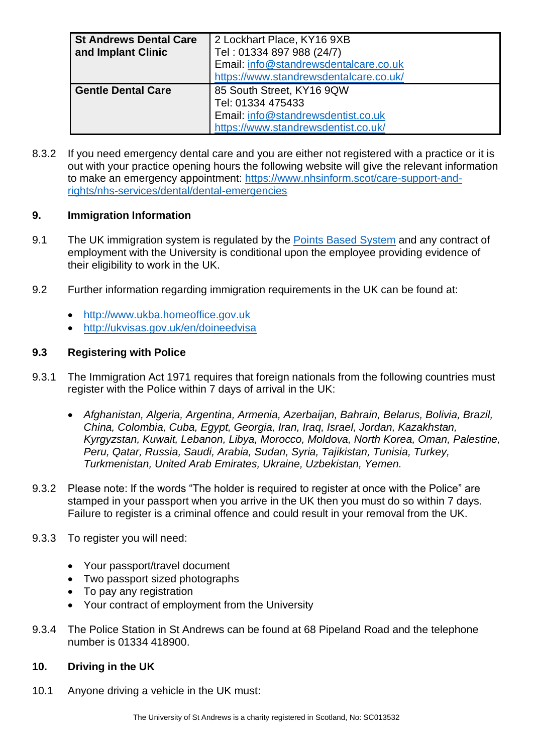| <b>St Andrews Dental Care</b> | 2 Lockhart Place, KY16 9XB             |  |
|-------------------------------|----------------------------------------|--|
| and Implant Clinic            | Tel: 01334 897 988 (24/7)              |  |
|                               | Email: info@standrewsdentalcare.co.uk  |  |
|                               | https://www.standrewsdentalcare.co.uk/ |  |
| <b>Gentle Dental Care</b>     | 85 South Street, KY16 9QW              |  |
|                               | Tel: 01334 475433                      |  |
|                               | Email: info@standrewsdentist.co.uk     |  |
|                               | https://www.standrewsdentist.co.uk/    |  |

8.3.2 If you need emergency dental care and you are either not registered with a practice or it is out with your practice opening hours the following website will give the relevant information to make an emergency appointment: [https://www.nhsinform.scot/care-support-and](https://www.nhsinform.scot/care-support-and-rights/nhs-services/dental/dental-emergencies)[rights/nhs-services/dental/dental-emergencies](https://www.nhsinform.scot/care-support-and-rights/nhs-services/dental/dental-emergencies)

## <span id="page-8-0"></span>**9. Immigration Information**

- 9.1 The UK immigration system is regulated by the [Points Based System](https://www.st-andrews.ac.uk/staff/policy/immigration/) and any contract of employment with the University is conditional upon the employee providing evidence of their eligibility to work in the UK.
- 9.2 Further information regarding immigration requirements in the UK can be found at:
	- [http://www.ukba.homeoffice.gov.uk](http://www.ukba.homeoffice.gov.uk/)
	- <http://ukvisas.gov.uk/en/doineedvisa>

#### **9.3 Registering with Police**

- 9.3.1 The Immigration Act 1971 requires that foreign nationals from the following countries must register with the Police within 7 days of arrival in the UK:
	- *Afghanistan, Algeria, Argentina, Armenia, Azerbaijan, Bahrain, Belarus, Bolivia, Brazil, China, Colombia, Cuba, Egypt, Georgia, Iran, Iraq, Israel, Jordan, Kazakhstan, Kyrgyzstan, Kuwait, Lebanon, Libya, Morocco, Moldova, North Korea, Oman, Palestine, Peru, Qatar, Russia, Saudi, Arabia, Sudan, Syria, Tajikistan, Tunisia, Turkey, Turkmenistan, United Arab Emirates, Ukraine, Uzbekistan, Yemen.*
- 9.3.2 Please note: If the words "The holder is required to register at once with the Police" are stamped in your passport when you arrive in the UK then you must do so within 7 days. Failure to register is a criminal offence and could result in your removal from the UK.
- 9.3.3 To register you will need:
	- Your passport/travel document
	- Two passport sized photographs
	- To pay any registration
	- Your contract of employment from the University
- 9.3.4 The Police Station in St Andrews can be found at 68 Pipeland Road and the telephone number is 01334 418900.

## <span id="page-8-1"></span>**10. Driving in the UK**

10.1 Anyone driving a vehicle in the UK must: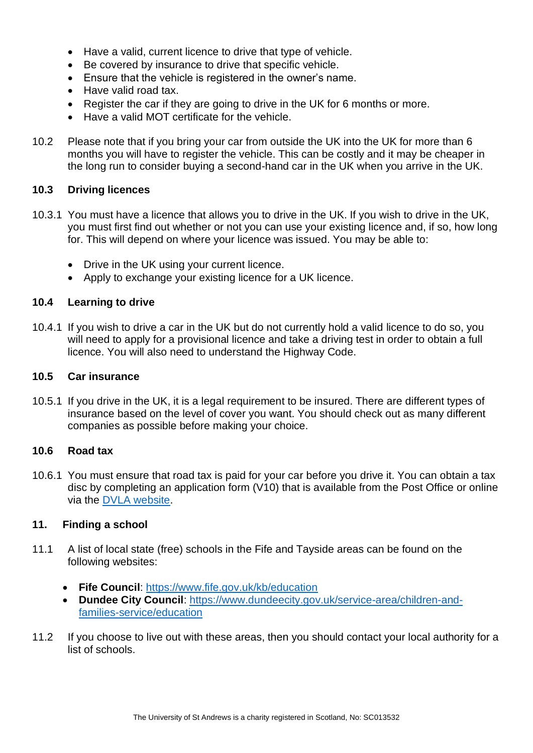- Have a valid, current licence to drive that type of vehicle.
- Be covered by insurance to drive that specific vehicle.
- Ensure that the vehicle is registered in the owner's name.
- Have valid road tax.
- Register the car if they are going to drive in the UK for 6 months or more.
- Have a valid MOT certificate for the vehicle.
- 10.2 Please note that if you bring your car from outside the UK into the UK for more than 6 months you will have to register the vehicle. This can be costly and it may be cheaper in the long run to consider buying a second-hand car in the UK when you arrive in the UK.

#### **10.3 Driving licences**

- 10.3.1 You must have a licence that allows you to drive in the UK. If you wish to drive in the UK, you must first find out whether or not you can use your existing licence and, if so, how long for. This will depend on where your licence was issued. You may be able to:
	- Drive in the UK using your current licence.
	- Apply to exchange your existing licence for a UK licence.

#### **10.4 Learning to drive**

10.4.1 If you wish to drive a car in the UK but do not currently hold a valid licence to do so, you will need to apply for a provisional licence and take a driving test in order to obtain a full licence. You will also need to understand the Highway Code.

#### **10.5 Car insurance**

10.5.1 If you drive in the UK, it is a legal requirement to be insured. There are different types of insurance based on the level of cover you want. You should check out as many different companies as possible before making your choice.

#### **10.6 Road tax**

10.6.1 You must ensure that road tax is paid for your car before you drive it. You can obtain a tax disc by completing an application form (V10) that is available from the Post Office or online via the [DVLA website.](https://www.gov.uk/government/organisations/driver-and-vehicle-licensing-agency)

#### <span id="page-9-0"></span>**11. Finding a school**

- 11.1 A list of local state (free) schools in the Fife and Tayside areas can be found on the following websites:
	- **Fife Council**:<https://www.fife.gov.uk/kb/education>
	- **Dundee City Council**: [https://www.dundeecity.gov.uk/service-area/children-and](https://www.dundeecity.gov.uk/service-area/children-and-families-service/education)[families-service/education](https://www.dundeecity.gov.uk/service-area/children-and-families-service/education)
- 11.2 If you choose to live out with these areas, then you should contact your local authority for a list of schools.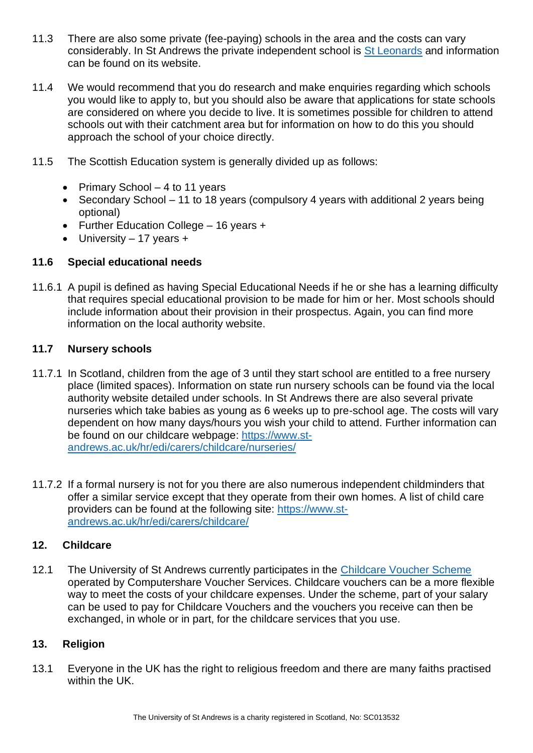- 11.3 There are also some private (fee-paying) schools in the area and the costs can vary considerably. In St Andrews the private independent school is [St Leonards](http://www.stleonards-fife.org/) and information can be found on its website.
- 11.4 We would recommend that you do research and make enquiries regarding which schools you would like to apply to, but you should also be aware that applications for state schools are considered on where you decide to live. It is sometimes possible for children to attend schools out with their catchment area but for information on how to do this you should approach the school of your choice directly.
- 11.5 The Scottish Education system is generally divided up as follows:
	- Primary School 4 to 11 years
	- Secondary School 11 to 18 years (compulsory 4 years with additional 2 years being optional)
	- Further Education College 16 years +
	- University 17 years +

#### **11.6 Special educational needs**

11.6.1 A pupil is defined as having Special Educational Needs if he or she has a learning difficulty that requires special educational provision to be made for him or her. Most schools should include information about their provision in their prospectus. Again, you can find more information on the local authority website.

#### **11.7 Nursery schools**

- 11.7.1 In Scotland, children from the age of 3 until they start school are entitled to a free nursery place (limited spaces). Information on state run nursery schools can be found via the local authority website detailed under schools. In St Andrews there are also several private nurseries which take babies as young as 6 weeks up to pre-school age. The costs will vary dependent on how many days/hours you wish your child to attend. Further information can be found on our childcare webpage: [https://www.st](https://www.st-andrews.ac.uk/hr/edi/carers/childcare/nurseries/)[andrews.ac.uk/hr/edi/carers/childcare/nurseries/](https://www.st-andrews.ac.uk/hr/edi/carers/childcare/nurseries/)
- 11.7.2 If a formal nursery is not for you there are also numerous independent childminders that offer a similar service except that they operate from their own homes. A list of child care providers can be found at the following site: [https://www.st](https://www.st-andrews.ac.uk/hr/edi/carers/childcare/)[andrews.ac.uk/hr/edi/carers/childcare/](https://www.st-andrews.ac.uk/hr/edi/carers/childcare/)

#### <span id="page-10-0"></span>**12. Childcare**

12.1 The University of St Andrews currently participates in the [Childcare Voucher Scheme](https://www.st-andrews.ac.uk/hr/salariesandpensions/childcarevouchers/) operated by Computershare Voucher Services. Childcare vouchers can be a more flexible way to meet the costs of your childcare expenses. Under the scheme, part of your salary can be used to pay for Childcare Vouchers and the vouchers you receive can then be exchanged, in whole or in part, for the childcare services that you use.

#### <span id="page-10-1"></span>**13. Religion**

13.1 Everyone in the UK has the right to religious freedom and there are many faiths practised within the UK.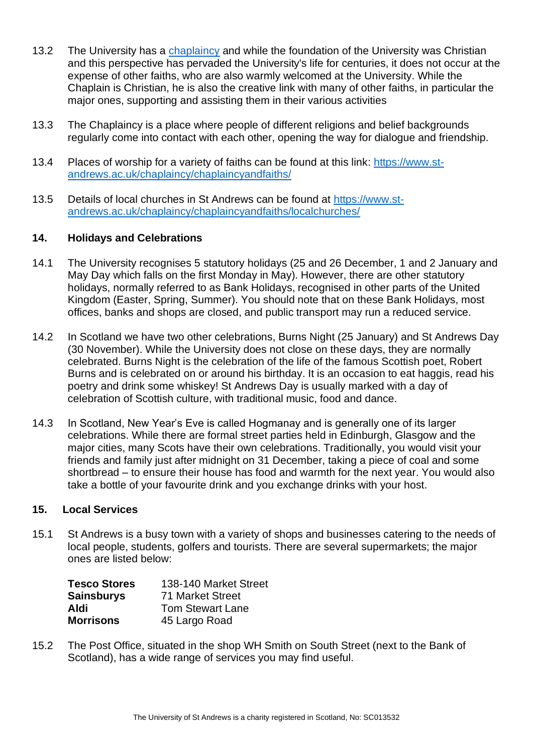- 13.2 The University has a [chaplaincy](https://www.st-andrews.ac.uk/chaplaincy/team/chaplain/) and while the foundation of the University was Christian and this perspective has pervaded the University's life for centuries, it does not occur at the expense of other faiths, who are also warmly welcomed at the University. While the Chaplain is Christian, he is also the creative link with many of other faiths, in particular the major ones, supporting and assisting them in their various activities
- 13.3 The Chaplaincy is a place where people of different religions and belief backgrounds regularly come into contact with each other, opening the way for dialogue and friendship.
- 13.4 Places of worship for a variety of faiths can be found at this link: [https://www.st](https://www.st-andrews.ac.uk/chaplaincy/chaplaincyandfaiths/)[andrews.ac.uk/chaplaincy/chaplaincyandfaiths/](https://www.st-andrews.ac.uk/chaplaincy/chaplaincyandfaiths/)
- 13.5 Details of local churches in St Andrews can be found at [https://www.st](https://www.st-andrews.ac.uk/chaplaincy/chaplaincyandfaiths/localchurches/)[andrews.ac.uk/chaplaincy/chaplaincyandfaiths/localchurches/](https://www.st-andrews.ac.uk/chaplaincy/chaplaincyandfaiths/localchurches/)

#### <span id="page-11-0"></span>**14. Holidays and Celebrations**

- 14.1 The University recognises 5 statutory holidays (25 and 26 December, 1 and 2 January and May Day which falls on the first Monday in May). However, there are other statutory holidays, normally referred to as Bank Holidays, recognised in other parts of the United Kingdom (Easter, Spring, Summer). You should note that on these Bank Holidays, most offices, banks and shops are closed, and public transport may run a reduced service.
- 14.2 In Scotland we have two other celebrations, Burns Night (25 January) and St Andrews Day (30 November). While the University does not close on these days, they are normally celebrated. Burns Night is the celebration of the life of the famous Scottish poet, Robert Burns and is celebrated on or around his birthday. It is an occasion to eat haggis, read his poetry and drink some whiskey! St Andrews Day is usually marked with a day of celebration of Scottish culture, with traditional music, food and dance.
- 14.3 In Scotland, New Year's Eve is called Hogmanay and is generally one of its larger celebrations. While there are formal street parties held in Edinburgh, Glasgow and the major cities, many Scots have their own celebrations. Traditionally, you would visit your friends and family just after midnight on 31 December, taking a piece of coal and some shortbread – to ensure their house has food and warmth for the next year. You would also take a bottle of your favourite drink and you exchange drinks with your host.

#### <span id="page-11-1"></span>**15. Local Services**

15.1 St Andrews is a busy town with a variety of shops and businesses catering to the needs of local people, students, golfers and tourists. There are several supermarkets; the major ones are listed below:

| <b>Tesco Stores</b> | 138-140 Market Street   |
|---------------------|-------------------------|
| <b>Sainsburys</b>   | 71 Market Street        |
| Aldi                | <b>Tom Stewart Lane</b> |
| <b>Morrisons</b>    | 45 Largo Road           |

15.2 The Post Office, situated in the shop WH Smith on South Street (next to the Bank of Scotland), has a wide range of services you may find useful.